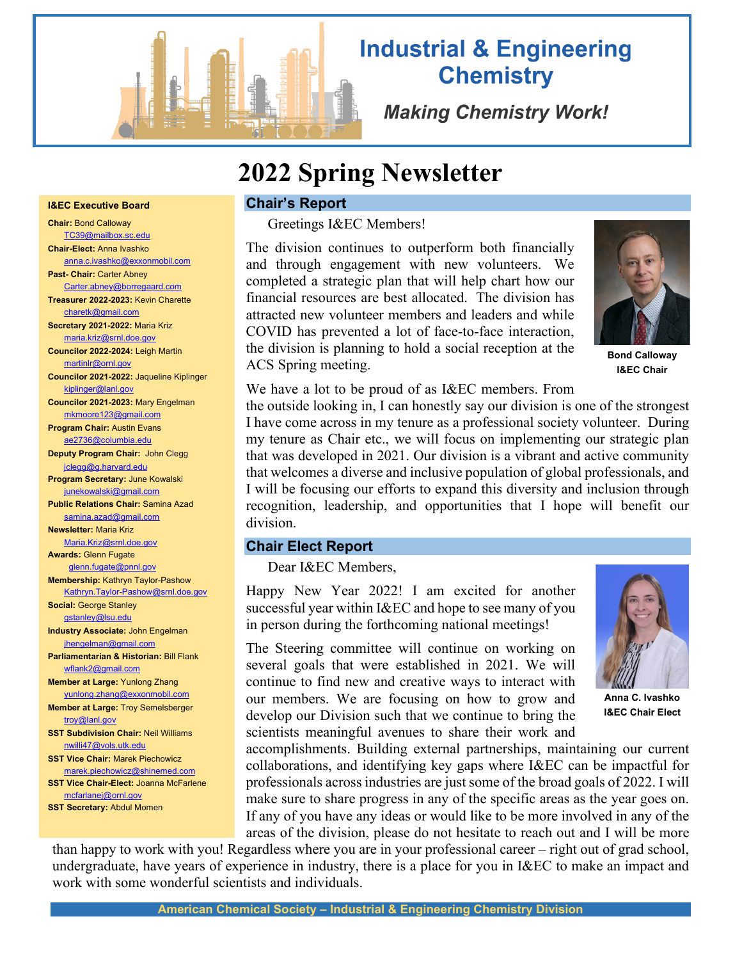

# **Industrial & Engineering Chemistry**

**Making Chemistry Work!** 

# **2022 Spring Newsletter**

#### **I&EC Executive Board**

**Chair:** Bond Calloway [TC39@mailbox.sc.edu](mailto:TC39@mailbox.sc.edu) **Chair-Elect:** Anna Ivashko anna.c.ivashko@exxonmobil.com **Past- Chair:** Carter Abney [Carter.abney@borregaard.com](mailto:Carter.abney@borregaard.com) **Treasurer 2022-2023:** Kevin Charette [charetk@gmail.com](mailto:charetk@gmail.com) **Secretary 2021-2022:** Maria Kriz [maria.kriz@srnl.doe.gov](mailto:maria.kriz@srnl.doe.gov) **Councilor 2022-2024:** Leigh Martin martinlr@ornl.gov **Councilor 2021-2022:** Jaqueline Kiplinger [kiplinger@lanl.gov](mailto:kiplinger@lanl.gov) **Councilor 2021-2023:** Mary Engelman [mkmoore123@gmail.com](mailto:mkmoore123@gmail.com) **Program Chair:** Austin Evans [ae2736@columbia.edu](mailto:ae2736@columbia.edu) **Deputy Program Chair:** John Clegg jclegg@g.harvard.edu **Program Secretary:** June Kowalski junekowalski@gmail.com **Public Relations Chair:** Samina Azad [samina.azad@gmail.com](mailto:samina.azad@gmail.com) **Newsletter:** Maria Kriz [Maria.Kriz@srnl.doe.gov](mailto:Maria.Kriz@srnl.doe.gov) **Awards:** Glenn Fugate [glenn.fugate@pnnl.gov](mailto:glenn.fugate@pnnl.gov)  **Membership:** Kathryn Taylor-Pashow [Kathryn.Taylor-Pashow@srnl.doe.gov](mailto:Kathryn.Taylor-Pashow@srnl.doe.gov) **Social:** George Stanley [gstanley@lsu.edu](mailto:gstanley@lsu.edu) **Industry Associate:** John Engelman jhengelman@gmail.com **Parliamentarian & Historian:** Bill Flank [wflank2@gmail.com](mailto:wflank2@gmail.com) **Member at Large:** Yunlong Zhang [yunlong.zhang@exxonmobil.com](mailto:yunlong.zhang@exxonmobil.com) **Member at Large:** Troy Semelsberger troy@lanl.gov **SST Subdivision Chair:** Neil Williams [nwilli47@vols.utk.edu](mailto:nwilli47@vols.utk.edu) **SST Vice Chair:** Marek Piechowicz [marek.piechowicz@shinemed.com](mailto:marek.piechowicz@shinemed.com) **SST Vice Chair-Elect:** Joanna McFarlene [mcfarlanej@ornl.gov](mailto:mcfarlanej@ornl.gov) **SST Secretary:** Abdul Momen

# **Chair's Report**

Greetings I&EC Members!

The division continues to outperform both financially and through engagement with new volunteers. We completed a strategic plan that will help chart how our financial resources are best allocated. The division has attracted new volunteer members and leaders and while COVID has prevented a lot of face-to-face interaction, the division is planning to hold a social reception at the ACS Spring meeting.



**Bond Calloway I&EC Chair**

We have a lot to be proud of as I&EC members. From

the outside looking in, I can honestly say our division is one of the strongest I have come across in my tenure as a professional society volunteer. During my tenure as Chair etc., we will focus on implementing our strategic plan that was developed in 2021. Our division is a vibrant and active community that welcomes a diverse and inclusive population of global professionals, and I will be focusing our efforts to expand this diversity and inclusion through recognition, leadership, and opportunities that I hope will benefit our division.

#### **Chair Elect Report**

Dear I&EC Members,

Happy New Year 2022! I am excited for another successful year within I&EC and hope to see many of you in person during the forthcoming national meetings!

The Steering committee will continue on working on several goals that were established in 2021. We will continue to find new and creative ways to interact with our members. We are focusing on how to grow and develop our Division such that we continue to bring the scientists meaningful avenues to share their work and

accomplishments. Building external partnerships, maintaining our current collaborations, and identifying key gaps where I&EC can be impactful for professionals across industries are just some of the broad goals of 2022. I will make sure to share progress in any of the specific areas as the year goes on. If any of you have any ideas or would like to be more involved in any of the areas of the division, please do not hesitate to reach out and I will be more

than happy to work with you! Regardless where you are in your professional career – right out of grad school, undergraduate, have years of experience in industry, there is a place for you in I&EC to make an impact and work with some wonderful scientists and individuals.



**Anna C. Ivashko I&EC Chair Elect**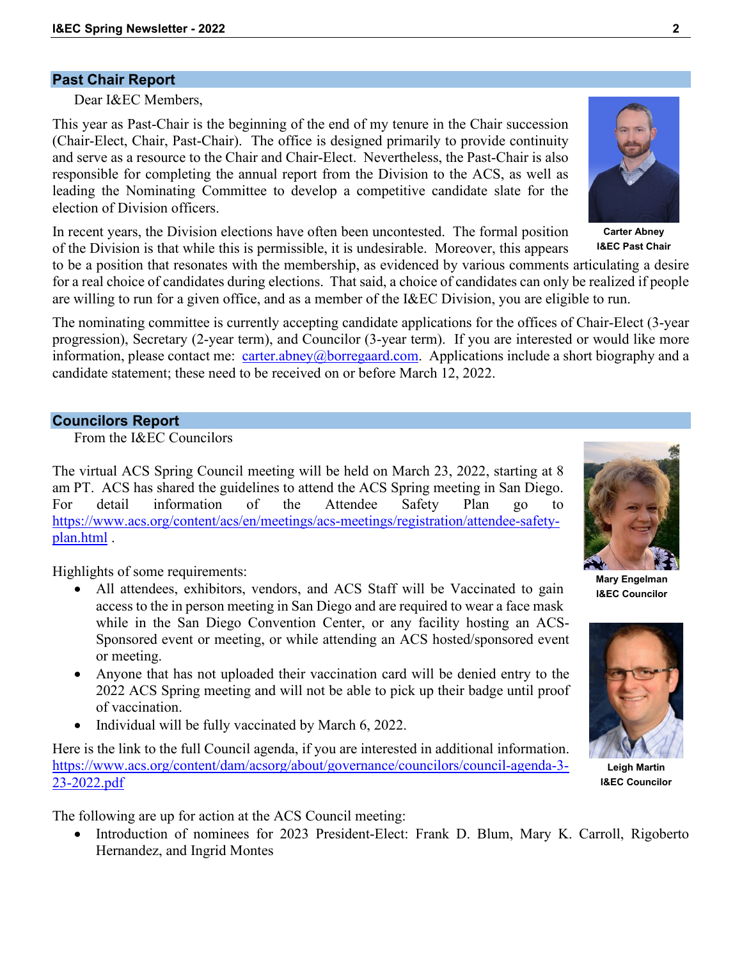#### **Past Chair Report**

Dear I&EC Members,

This year as Past-Chair is the beginning of the end of my tenure in the Chair succession (Chair-Elect, Chair, Past-Chair). The office is designed primarily to provide continuity and serve as a resource to the Chair and Chair-Elect. Nevertheless, the Past-Chair is also responsible for completing the annual report from the Division to the ACS, as well as leading the Nominating Committee to develop a competitive candidate slate for the election of Division officers.

In recent years, the Division elections have often been uncontested. The formal position of the Division is that while this is permissible, it is undesirable. Moreover, this appears

to be a position that resonates with the membership, as evidenced by various comments articulating a desire for a real choice of candidates during elections. That said, a choice of candidates can only be realized if people are willing to run for a given office, and as a member of the I&EC Division, you are eligible to run.

The nominating committee is currently accepting candidate applications for the offices of Chair-Elect (3-year progression), Secretary (2-year term), and Councilor (3-year term). If you are interested or would like more information, please contact me: [carter.abney@borregaard.com.](mailto:carter.abney@borregaard.com) Applications include a short biography and a candidate statement; these need to be received on or before March 12, 2022.

#### **Councilors Report**

From the I&EC Councilors

The virtual ACS Spring Council meeting will be held on March 23, 2022, starting at 8 am PT. ACS has shared the guidelines to attend the ACS Spring meeting in San Diego. For detail information of the Attendee Safety Plan go to [https://www.acs.org/content/acs/en/meetings/acs-meetings/registration/attendee-safety](https://www.acs.org/content/acs/en/meetings/acs-meetings/registration/attendee-safety-plan.html)[plan.html](https://www.acs.org/content/acs/en/meetings/acs-meetings/registration/attendee-safety-plan.html) .

Highlights of some requirements:

- All attendees, exhibitors, vendors, and ACS Staff will be Vaccinated to gain access to the in person meeting in San Diego and are required to wear a face mask while in the San Diego Convention Center, or any facility hosting an ACS-Sponsored event or meeting, or while attending an ACS hosted/sponsored event or meeting.
- Anyone that has not uploaded their vaccination card will be denied entry to the 2022 ACS Spring meeting and will not be able to pick up their badge until proof of vaccination.
- Individual will be fully vaccinated by March 6, 2022.

Here is the link to the full Council agenda, if you are interested in additional information. [https://www.acs.org/content/dam/acsorg/about/governance/councilors/council-agenda-3-](https://www.acs.org/content/dam/acsorg/about/governance/councilors/council-agenda-3-23-2022.pdf) [23-2022.pdf](https://www.acs.org/content/dam/acsorg/about/governance/councilors/council-agenda-3-23-2022.pdf)

The following are up for action at the ACS Council meeting:

• Introduction of nominees for 2023 President-Elect: Frank D. Blum, Mary K. Carroll, Rigoberto Hernandez, and Ingrid Montes

**I&EC Councilor**





**I&EC Past Chair**

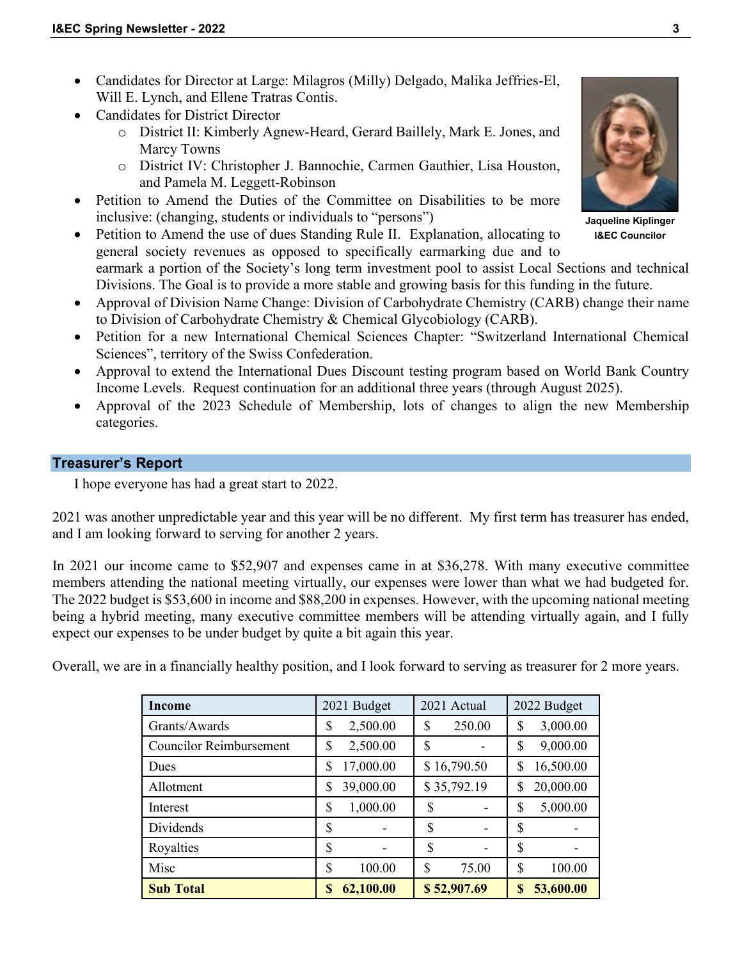- Candidates for Director at Large: Milagros (Milly) Delgado, Malika Jeffries-El, Will E. Lynch, and Ellene Tratras Contis.
- Candidates for District Director
	- o District II: Kimberly Agnew-Heard, Gerard Baillely, Mark E. Jones, and Marcy Towns
	- o District IV: Christopher J. Bannochie, Carmen Gauthier, Lisa Houston, and Pamela M. Leggett-Robinson
- Petition to Amend the Duties of the Committee on Disabilities to be more inclusive: (changing, students or individuals to "persons")

• Petition to Amend the use of dues Standing Rule II. Explanation, allocating to general society revenues as opposed to specifically earmarking due and to

earmark a portion of the Society's long term investment pool to assist Local Sections and technical Divisions. The Goal is to provide a more stable and growing basis for this funding in the future.

- Approval of Division Name Change: Division of Carbohydrate Chemistry (CARB) change their name to Division of Carbohydrate Chemistry & Chemical Glycobiology (CARB).
- Petition for a new International Chemical Sciences Chapter: "Switzerland International Chemical Sciences", territory of the Swiss Confederation.
- Approval to extend the International Dues Discount testing program based on World Bank Country Income Levels. Request continuation for an additional three years (through August 2025).
- Approval of the 2023 Schedule of Membership, lots of changes to align the new Membership categories.

# **Treasurer's Report**

I hope everyone has had a great start to 2022.

2021 was another unpredictable year and this year will be no different. My first term has treasurer has ended, and I am looking forward to serving for another 2 years.

In 2021 our income came to \$52,907 and expenses came in at \$36,278. With many executive committee members attending the national meeting virtually, our expenses were lower than what we had budgeted for. The 2022 budget is \$53,600 in income and \$88,200 in expenses. However, with the upcoming national meeting being a hybrid meeting, many executive committee members will be attending virtually again, and I fully expect our expenses to be under budget by quite a bit again this year.

Overall, we are in a financially healthy position, and I look forward to serving as treasurer for 2 more years.

| Income                         | 2021 Budget     | 2021 Actual  |    | 2022 Budget |
|--------------------------------|-----------------|--------------|----|-------------|
| Grants/Awards                  | \$<br>2,500.00  | \$<br>250.00 | \$ | 3,000.00    |
| <b>Councilor Reimbursement</b> | \$<br>2,500.00  | \$           | \$ | 9,000.00    |
| Dues                           | \$<br>17,000.00 | \$16,790.50  | \$ | 16,500.00   |
| Allotment                      | \$<br>39,000.00 | \$35,792.19  | S  | 20,000.00   |
| Interest                       | \$<br>1,000.00  | \$           | \$ | 5,000.00    |
| Dividends                      | \$              | \$           | \$ |             |
| Royalties                      | \$              | \$           | \$ |             |
| Misc                           | \$<br>100.00    | \$<br>75.00  | \$ | 100.00      |
| <b>Sub Total</b>               | \$<br>62,100.00 | \$52,907.69  | \$ | 53,600.00   |



**Jaqueline Kiplinger I&EC Councilor**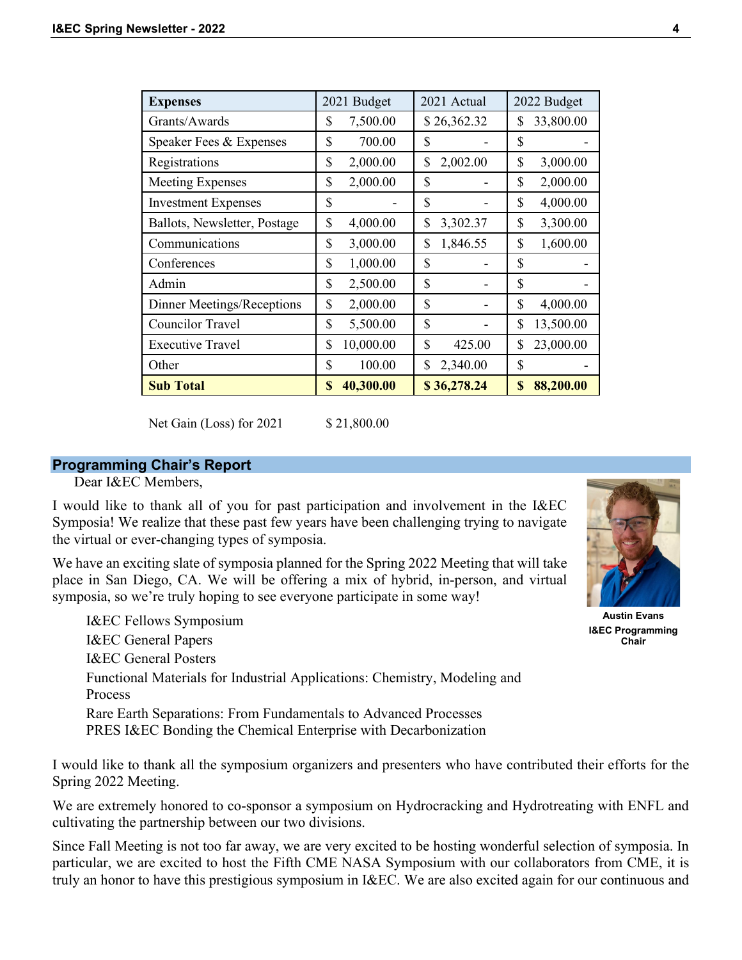| <b>Expenses</b>              | 2021 Budget     | 2021 Actual    | 2022 Budget     |  |
|------------------------------|-----------------|----------------|-----------------|--|
| Grants/Awards                | \$<br>7,500.00  | \$26,362.32    | 33,800.00<br>\$ |  |
| Speaker Fees & Expenses      | \$<br>700.00    | \$             | \$              |  |
| Registrations                | \$<br>2,000.00  | \$<br>2,002.00 | \$<br>3,000.00  |  |
| <b>Meeting Expenses</b>      | \$<br>2,000.00  | \$             | \$<br>2,000.00  |  |
| <b>Investment Expenses</b>   | \$              | \$             | \$<br>4,000.00  |  |
| Ballots, Newsletter, Postage | \$<br>4,000.00  | \$<br>3,302.37 | \$<br>3,300.00  |  |
| Communications               | \$<br>3,000.00  | \$<br>1,846.55 | \$<br>1,600.00  |  |
| Conferences                  | \$<br>1,000.00  | \$             | \$              |  |
| Admin                        | \$<br>2,500.00  | \$             | \$              |  |
| Dinner Meetings/Receptions   | \$<br>2,000.00  | \$             | \$<br>4,000.00  |  |
| Councilor Travel             | \$<br>5,500.00  | \$             | \$<br>13,500.00 |  |
| <b>Executive Travel</b>      | \$<br>10,000.00 | \$<br>425.00   | 23,000.00<br>\$ |  |
| Other                        | \$<br>100.00    | \$<br>2,340.00 | \$              |  |
| <b>Sub Total</b>             | \$<br>40,300.00 | \$36,278.24    | 88,200.00<br>\$ |  |

Net Gain (Loss) for 2021 \$ 21,800.00

# **Programming Chair's Report**

Dear I&EC Members,

I would like to thank all of you for past participation and involvement in the I&EC Symposia! We realize that these past few years have been challenging trying to navigate the virtual or ever-changing types of symposia.

We have an exciting slate of symposia planned for the Spring 2022 Meeting that will take place in San Diego, CA. We will be offering a mix of hybrid, in-person, and virtual symposia, so we're truly hoping to see everyone participate in some way!

I&EC Fellows Symposium I&EC General Papers I&EC General Posters Functional Materials for Industrial Applications: Chemistry, Modeling and Process Rare Earth Separations: From Fundamentals to Advanced Processes PRES I&EC Bonding the Chemical Enterprise with Decarbonization

I would like to thank all the symposium organizers and presenters who have contributed their efforts for the Spring 2022 Meeting.

We are extremely honored to co-sponsor a symposium on Hydrocracking and Hydrotreating with ENFL and cultivating the partnership between our two divisions.

Since Fall Meeting is not too far away, we are very excited to be hosting wonderful selection of symposia. In particular, we are excited to host the Fifth CME NASA Symposium with our collaborators from CME, it is truly an honor to have this prestigious symposium in I&EC. We are also excited again for our continuous and



**Austin Evans I&EC Programming Chair**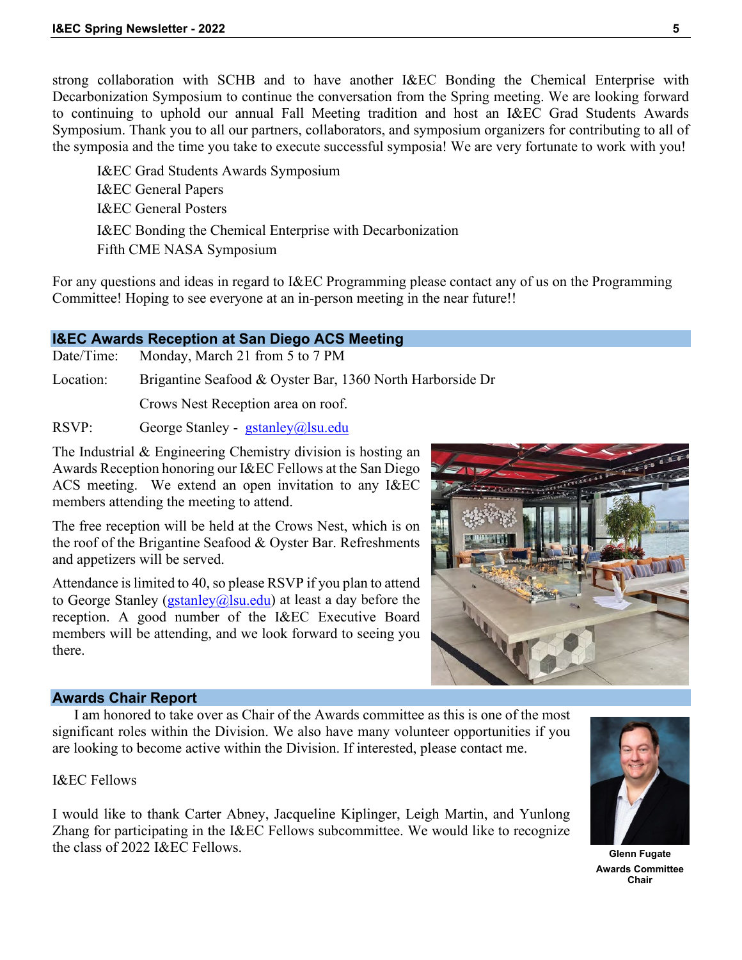strong collaboration with SCHB and to have another I&EC Bonding the Chemical Enterprise with Decarbonization Symposium to continue the conversation from the Spring meeting. We are looking forward to continuing to uphold our annual Fall Meeting tradition and host an I&EC Grad Students Awards Symposium. Thank you to all our partners, collaborators, and symposium organizers for contributing to all of the symposia and the time you take to execute successful symposia! We are very fortunate to work with you!

I&EC Grad Students Awards Symposium I&EC General Papers I&EC General Posters I&EC Bonding the Chemical Enterprise with Decarbonization Fifth CME NASA Symposium

For any questions and ideas in regard to I&EC Programming please contact any of us on the Programming Committee! Hoping to see everyone at an in-person meeting in the near future!!

# **I&EC Awards Reception at San Diego ACS Meeting**

Date/Time: Monday, March 21 from 5 to 7 PM

Location: Brigantine Seafood & Oyster Bar, 1360 North Harborside Dr

Crows Nest Reception area on roof.

RSVP: George Stanley - [gstanley@lsu.edu](mailto:gstanley@lsu.edu)

The Industrial & Engineering Chemistry division is hosting an Awards Reception honoring our I&EC Fellows at the San Diego ACS meeting. We extend an open invitation to any I&EC members attending the meeting to attend.

The free reception will be held at the Crows Nest, which is on the roof of the Brigantine Seafood & Oyster Bar. Refreshments and appetizers will be served.

Attendance is limited to 40, so please RSVP if you plan to attend to George Stanley (*gstanley@lsu.edu*) at least a day before the reception. A good number of the I&EC Executive Board members will be attending, and we look forward to seeing you there.



#### **Awards Chair Report**

I am honored to take over as Chair of the Awards committee as this is one of the most significant roles within the Division. We also have many volunteer opportunities if you are looking to become active within the Division. If interested, please contact me.

I&EC Fellows

I would like to thank Carter Abney, Jacqueline Kiplinger, Leigh Martin, and Yunlong Zhang for participating in the I&EC Fellows subcommittee. We would like to recognize the class of 2022 I&EC Fellows. **Glenn** Fugate



**Awards Committee Chair**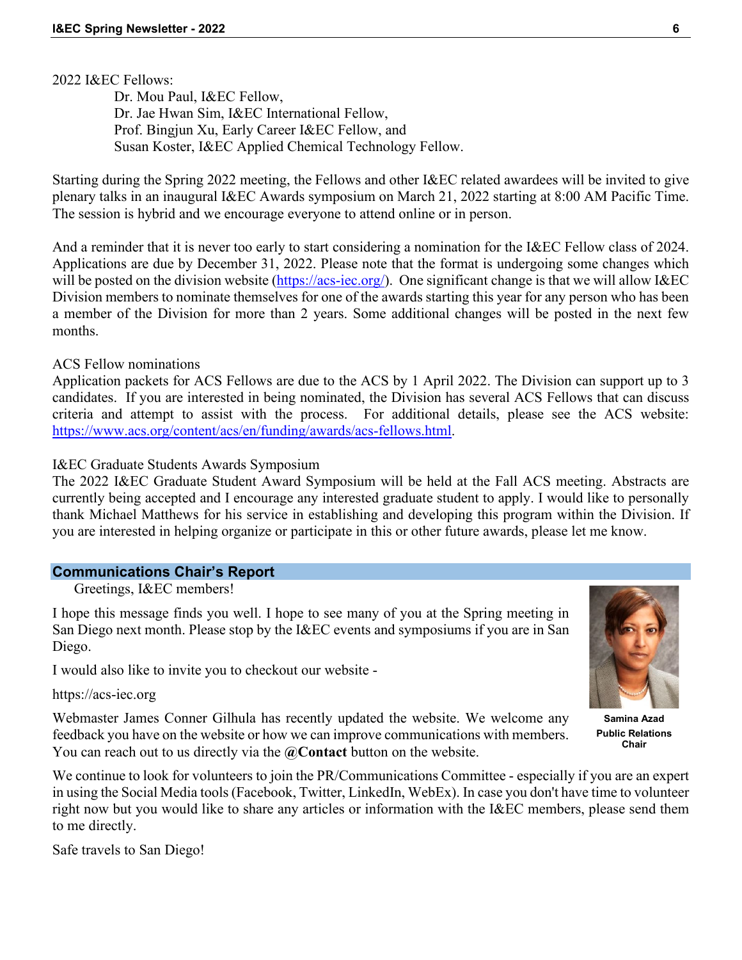2022 I&EC Fellows:

 Dr. Mou Paul, I&EC Fellow, Dr. Jae Hwan Sim, I&EC International Fellow, Prof. Bingjun Xu, Early Career I&EC Fellow, and Susan Koster, I&EC Applied Chemical Technology Fellow.

Starting during the Spring 2022 meeting, the Fellows and other I&EC related awardees will be invited to give plenary talks in an inaugural I&EC Awards symposium on March 21, 2022 starting at 8:00 AM Pacific Time. The session is hybrid and we encourage everyone to attend online or in person.

And a reminder that it is never too early to start considering a nomination for the I&EC Fellow class of 2024. Applications are due by December 31, 2022. Please note that the format is undergoing some changes which will be posted on the division website [\(https://acs-iec.org/\)](https://acs-iec.org/). One significant change is that we will allow I&EC Division members to nominate themselves for one of the awards starting this year for any person who has been a member of the Division for more than 2 years. Some additional changes will be posted in the next few months.

ACS Fellow nominations

Application packets for ACS Fellows are due to the ACS by 1 April 2022. The Division can support up to 3 candidates. If you are interested in being nominated, the Division has several ACS Fellows that can discuss criteria and attempt to assist with the process. For additional details, please see the ACS website: [https://www.acs.org/content/acs/en/funding/awards/acs-fellows.html.](https://www.acs.org/content/acs/en/funding/awards/acs-fellows.html)

#### I&EC Graduate Students Awards Symposium

The 2022 I&EC Graduate Student Award Symposium will be held at the Fall ACS meeting. Abstracts are currently being accepted and I encourage any interested graduate student to apply. I would like to personally thank Michael Matthews for his service in establishing and developing this program within the Division. If you are interested in helping organize or participate in this or other future awards, please let me know.

#### **Communications Chair's Report**

Greetings, I&EC members!

I hope this message finds you well. I hope to see many of you at the Spring meeting in San Diego next month. Please stop by the I&EC events and symposiums if you are in San Diego.

I would also like to invite you to checkout our website -

https://acs-iec.org

Webmaster James Conner Gilhula has recently updated the website. We welcome any feedback you have on the website or how we can improve communications with members. You can reach out to us directly via the **@Contact** button on the website.

We continue to look for volunteers to join the PR/Communications Committee - especially if you are an expert in using the Social Media tools (Facebook, Twitter, LinkedIn, WebEx). In case you don't have time to volunteer right now but you would like to share any articles or information with the I&EC members, please send them to me directly.

Safe travels to San Diego!

**Samina Azad Public Relations** 

**Chair**

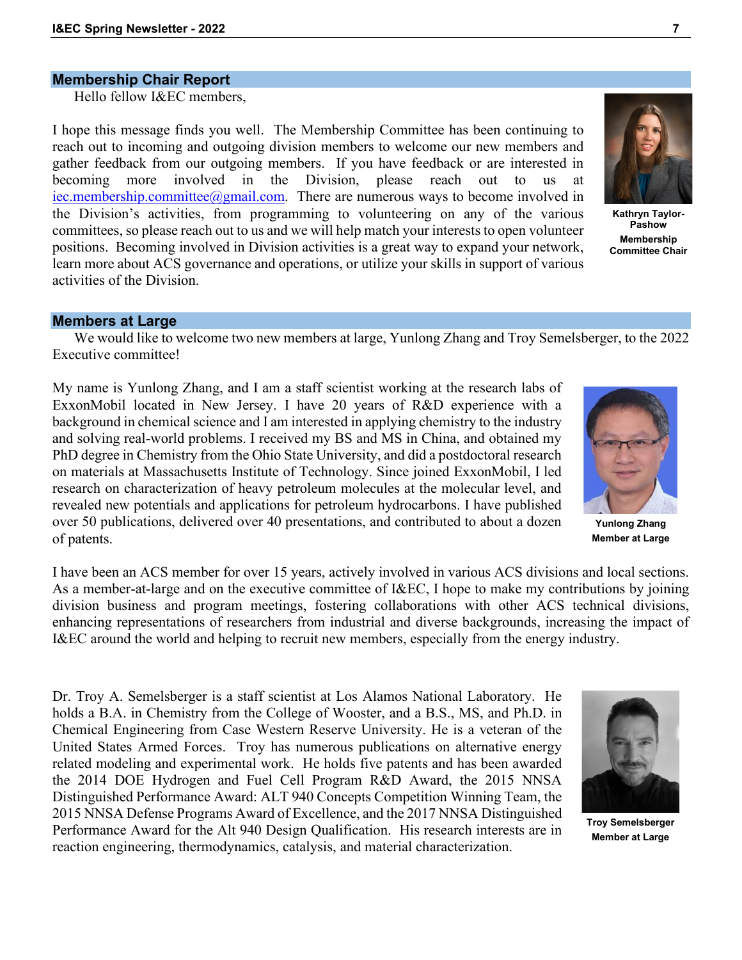# **Membership Chair Report**

Hello fellow I&EC members,

I hope this message finds you well. The Membership Committee has been continuing to reach out to incoming and outgoing division members to welcome our new members and gather feedback from our outgoing members. If you have feedback or are interested in becoming more involved in the Division, please reach out to us at [iec.membership.committee@gmail.com.](mailto:iec.membership.committee@gmail.com) There are numerous ways to become involved in the Division's activities, from programming to volunteering on any of the various committees, so please reach out to us and we will help match your interests to open volunteer positions. Becoming involved in Division activities is a great way to expand your network, learn more about ACS governance and operations, or utilize your skills in support of various activities of the Division.



**Kathryn Taylor-Pashow Membership Committee Chair**

#### **Members at Large**

We would like to welcome two new members at large, Yunlong Zhang and Troy Semelsberger, to the 2022 Executive committee!

My name is Yunlong Zhang, and I am a staff scientist working at the research labs of ExxonMobil located in New Jersey. I have 20 years of R&D experience with a background in chemical science and I am interested in applying chemistry to the industry and solving real-world problems. I received my BS and MS in China, and obtained my PhD degree in Chemistry from the Ohio State University, and did a postdoctoral research on materials at Massachusetts Institute of Technology. Since joined ExxonMobil, I led research on characterization of heavy petroleum molecules at the molecular level, and revealed new potentials and applications for petroleum hydrocarbons. I have published over 50 publications, delivered over 40 presentations, and contributed to about a dozen of patents.

**Yunlong Zhang Member at Large**

I have been an ACS member for over 15 years, actively involved in various ACS divisions and local sections. As a member-at-large and on the executive committee of I&EC, I hope to make my contributions by joining division business and program meetings, fostering collaborations with other ACS technical divisions, enhancing representations of researchers from industrial and diverse backgrounds, increasing the impact of I&EC around the world and helping to recruit new members, especially from the energy industry.

Dr. Troy A. Semelsberger is a staff scientist at Los Alamos National Laboratory. He holds a B.A. in Chemistry from the College of Wooster, and a B.S., MS, and Ph.D. in Chemical Engineering from Case Western Reserve University. He is a veteran of the United States Armed Forces. Troy has numerous publications on alternative energy related modeling and experimental work. He holds five patents and has been awarded the 2014 DOE Hydrogen and Fuel Cell Program R&D Award, the 2015 NNSA Distinguished Performance Award: ALT 940 Concepts Competition Winning Team, the 2015 NNSA Defense Programs Award of Excellence, and the 2017 NNSA Distinguished Performance Award for the Alt 940 Design Qualification. His research interests are in reaction engineering, thermodynamics, catalysis, and material characterization.



**Troy Semelsberger Member at Large**